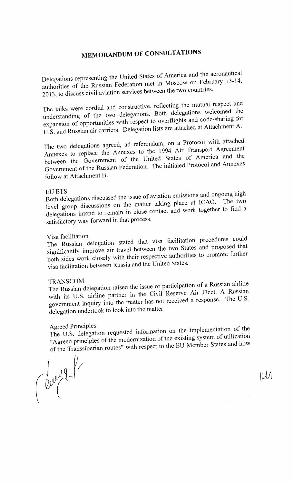# **MEMORANDUM OF CONSULTATIONS**

Delegations representing the United States of America and the aeronautical authorities of the Russian Federation met in Moscow on February 13-14, 2013, to discuss civil aviation services between the two countries.

The talks were cordial and constructive, reflecting the mutual respect and understanding of the two delegations. Both delegations welcomed the expansion of opportunities with respect to overflights and code-sharing for U.S. and Russian air carriers. Delegation lists are attached at Attachment A.

The two delegations agreed, ad referendum, on a Protocol with attached Annexes to replace the Annexes to the 1994 Air Transport Agreement between the Government of the United States of America and the Government of the Russian Federation. The initialed Protocol and Annexes follow at Attachment B.

### EUETS

 $B_0$   $B_1$ ,  $B_2$ level group discussions on the matter taking place at ICAO. The two delegations intend to remain in close contact and work together to find a satisfactory way forward in that process.

### Visa facilitation

The Russian delegation stated that visa facilitation procedures could significantly improve air travel between the two States and proposed that both sides work closely with their respective authorities to promote further visa facilitation between Russia and the United States.

### TRANSCOM

The Russian delegation raised the issue of participation of a Russian airline with its U.S. airline partner in the Civil Reserve Air Fleet. A Russian government inquiry into the matter has not received a response. The U.S. delegation undertook to look into the matter.

Agreed Principles The U.S. delegation requested information on the implementation of the "Agreed principles of the modernization of the existing system of utilization of the Transsibcrian routes" with respect to the EU Member States and how

Cerry 1

 $LU$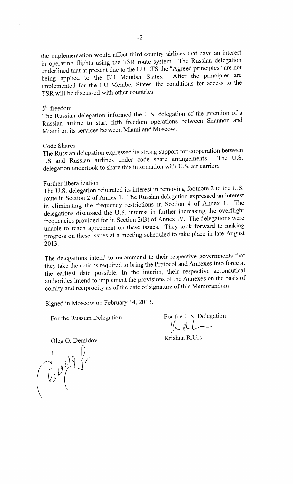the implementation would affect third country airlines that have an interest in operating flights using the TSR route system. The Russian delegation underlined that at present due to the EU ETS the "Agreed principles" are not being applied to the EU Member States. After the principles are implemented for the EU Member States, the conditions for access to the TSR will be discussed with other countries.

#### 5<sup>th</sup> freedom

The Russian delegation informed the U.S. delegation of the intention of a Russian airline to start fifth freedom operations between Shannon and Miami on its services between Miami and Moscow.

#### Code Shares

The Russian delegation expressed its strong support for cooperation between<br>LIS and Bussian sirlines under code share arrangements. The U.S. US and Russian airlines under code share arrangements. delegation undertook to share this information with U.S. air carriers.

#### Further liberalization

The U.S. delegation reiterated its interest in removing footnote 2 to the U.S. route in Section 2 of Annex 1. The Russian delegation expressed an interest in eliminating the frequency restrictions in Section 4 of Annex 1. The delegations discussed the U.S. interest in further increasing the overflight frequencies provided for in Section 2(B) of Annex IV. The delegations were unable to reach agreement on these issues. They look forward to making progress on these issues at a meeting scheduled to take place in late August 2013.

The delegations intend to recommend to their respective governments that they take the actions required to bring the Protocol and Annexes into force at the earliest date possible. In the interim, their respective aeronautical authorities intend to implement the provisions of the Annexes on the basis of comity and reciprocity as of the date of signature of this Memorandum.

Signed in Moscow on February 14, 2013.

For the Russian Delegation For the U.S. Delegation  $\|R_{\mathcal{R}}\|$ 

Oleg O. Demidov<br>
Strishna R.Urs<br>
Colleg String Colleg String Colleg String Colleg String Colleg String Colleg String Colleg String Colleg String Colleg String Colleg String Colleg String Colleg String Colleg String Colleg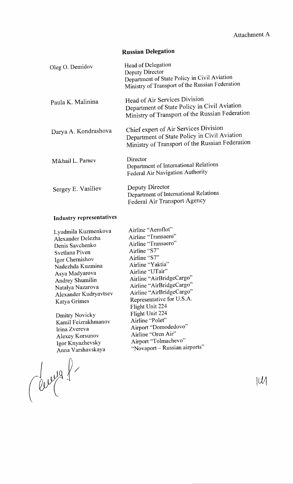# **Russian Delegation**

| Oleg O. Demidov      | Head of Delegation<br>Deputy Director<br>Department of State Policy in Civil Aviation<br>Ministry of Transport of the Russian Federation |
|----------------------|------------------------------------------------------------------------------------------------------------------------------------------|
| Paula K. Malinina    | Head of Air Services Division<br>Department of State Policy in Civil Aviation<br>Ministry of Transport of the Russian Federation         |
| Darya A. Kondrashova | Chief expert of Air Services Division<br>Department of State Policy in Civil Aviation<br>Ministry of Transport of the Russian Federation |
| Mikhail L. Parnev    | Director<br>Department of International Relations<br>Federal Air Navigation Authority                                                    |
| Sergey E. Vasiliev   | Deputy Director<br>Department of International Relations<br>Federal Air Transport Agency                                                 |

# **Industry representatives**

 $\hat{\boldsymbol{\beta}}$ 

| Lyudmila Kuzmenkova   | Airline   |
|-----------------------|-----------|
| Alexander Delezha     | Airline   |
| Denis Savchenko       | Airline   |
| Svetlana Piven        | Airline   |
| Igor Chernishov       | Airline   |
| Nadezhda Kuzmina      | Airline   |
| Asya Madyarova        | Airline   |
| Andrey Shumilin       | Airline   |
| Natalya Nazarova      | Airline   |
| Alexander Kudryavtsev | Airline   |
| Katya Grimes          | Repres    |
|                       | Flight    |
| <b>Dmitry Novicky</b> | Flight    |
| Kamil Feizrakhmanov   | Airline   |
|                       | $A$ irnor |

Irina Zvereva Alexey Korsunov Igor Knyazhevsky

Anna Varshavskaya

"Aeroflot" "Transaero" "Transaero"  $``S7"$  $``S7"$ "Yaktia" "UTair" "AirBridgeCargo" "AirBridgeCargo" "AirBridgeCargo" entative for U.S.A. Unit 224 Unit 224 e "Polet" Airport "Domodedovo" Airline "Oren Air" Airport "Tolmachevo" "Novaport- Russian airports"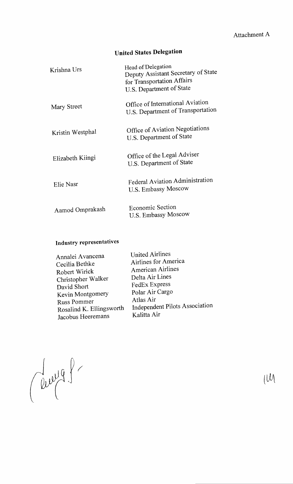# **United States Delegation**

| Krishna Urs      | Head of Delegation<br>Deputy Assistant Secretary of State<br>for Transportation Affairs<br>U.S. Department of State |
|------------------|---------------------------------------------------------------------------------------------------------------------|
| Mary Street      | Office of International Aviation<br>U.S. Department of Transportation                                               |
| Kristin Westphal | Office of Aviation Negotiations<br>U.S. Department of State                                                         |
| Elizabeth Kiingi | Office of the Legal Adviser<br>U.S. Department of State                                                             |
| Elie Nasr        | Federal Aviation Administration<br>U.S. Embassy Moscow                                                              |
| Aamod Omprakash  | <b>Economic Section</b><br>U.S. Embassy Moscow                                                                      |

# **Industry representatives**

| Annalei Avancena         | <b>United Airlines</b>         |
|--------------------------|--------------------------------|
| Cecilia Bethke           | Airlines for America           |
| Robert Wirick            | <b>American Airlines</b>       |
| Christopher Walker       | Delta Air Lines                |
| David Short              | FedEx Express                  |
| Kevin Montgomery         | Polar Air Cargo                |
| <b>Russ Pommer</b>       | Atlas Air                      |
| Rosalind K. Ellingsworth | Independent Pilots Association |
| Jacobus Heeremans        | Kalitta Air                    |
|                          |                                |

Clevel9.

 $U^{\text{M}}$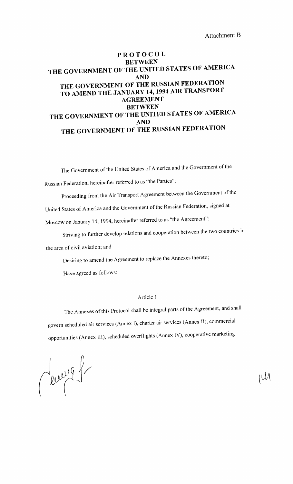### **PROTOCOL BETWEEN THE GOVERNMENT OF THE UNITED STATES OF AMERICA AND THE GOVERNMENT OF THE RUSSIAN FEDERATION TO AMEND THE JANUARY 14, 1994 AIR TRANSPORT AGREEMENT BETWEEN THE GOVERNMENT OF THE UNITED STATES OF AMERICA AND THE GOVERNMENT OF THE RUSSIAN FEDERATION**

The Government of the United States of America and the Government of the

Russian Federation, hereinafter referred to as "the Parties";

Proceeding from the Air Transport Agreement between the Government of the

United States of America and the Government of the Russian Federation, signed at

Moscow on January 14, 1994, hereinafter referred to as "the Agreement";

Striving to further develop relations and cooperation between the two countries in

the area of civil aviation; and

Desiring to amend the Agreement to replace the Annexes thereto;

Have agreed as follows:

#### Article 1

The Annexes of this Protocol shall be integral parts of the Agreement, and shall govern scheduled air services (Annex I), charter air services (Annex II), commercial opportunities (Annex Ill), scheduled overflights (Annex IV), cooperative marketing

Leur 9 fr

IUA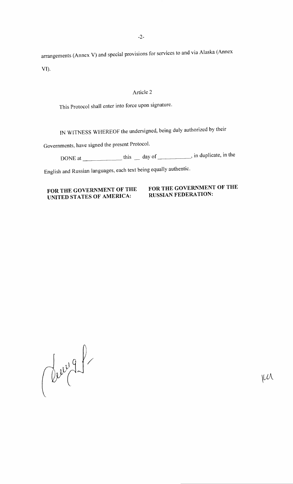-2-

arrangements (Annex V) and special provisions for services to and via Alaska (Annex VI).

#### Article 2

This Protocol shall enter into force upon signature.

IN WITNESS WHEREOF the undersigned, being duly authorized by their

Governments, have signed the present Protocol.

DONE at \_\_\_\_\_\_\_\_\_\_\_\_\_ this \_\_ day of \_\_\_\_\_\_\_\_, in duplicate, in the

English and Russian languages, each text being equally authentic.

### **FOR THE GOVERNMENT OF THE UNITED STATES OF AMERICA:**

### **FOR THE GOVERNMENT OF THE RUSSIAN FEDERATION:**

Cervig1

 $\mu\lambda$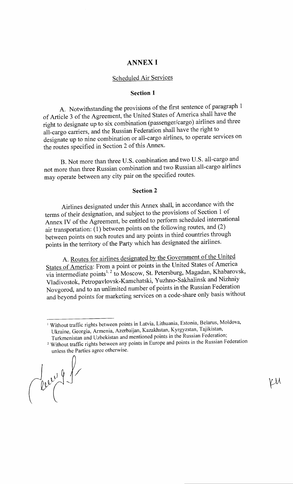### **ANNEX I**

# Scheduled Air Services

#### **Section 1**

A. Notwithstanding the provisions of the first sentence of paragraph 1 of Article 3 of the Agreement, the United States of America shall have the right to designate up to six combination (passenger/cargo) airlines and three all-cargo carriers, and the Russian Federation shall have the right to designate up to nine combination or all-cargo airlines, to operate services on the routes specified in Section 2 of this Annex.

B. Not more than three U.S. combination and two U.S. all-cargo and not more than three Russian combination and two Russian all-cargo airlines may operate between any city pair on the specified routes.

#### **Section 2**

Airlines designated under this Annex shall, in accordance with the terms of their designation, and subject to the provisions of Section 1 of Annex IV of the Agreement, be entitled to perform scheduled international air transportation: (1) between points on the following routes, and (2) between points on such routes and any points in third countries through points in the territory of the Party which has designated the airlines.

A. Routes for airlines designated by the Government of the United States of America: From a point or points in the United States of America  $\overline{v}$ ia intermediate points<sup>1, 2</sup> to Moscow, St. Petersburg, Magadan, Khabarovsk, Vladivostok, Petropavlovsk-Kamchatski, Yuzhno-Sakhalinsk and Nizhniy Novgorod, and to an unlimited number of points in the Russian Federation and beyond points for marketing services on a code-share only basis without

*}/* 

LM

<sup>&</sup>lt;sup>1</sup> Without traffic rights between points in Latvia, Lithuania, Estonia, Belarus, Moldova, Ukraine, Georgia, Armenia, Azerbaijan, Kazakhstan, Kyrgyzstan, Tajikistan,

Turkmenistan and Uzbekistan and mentioned points in the Russian Federation; <sup>2</sup> Without traffic rights between any points in Europe and points in the Russian Federation unless the Parties agree otherwise.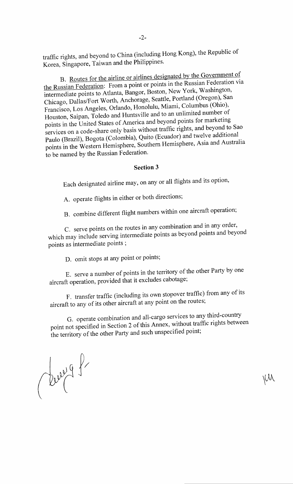traffic rights, and beyond to China (including Hong Kong), the Republic of Korea, Singapore, Taiwan and the Philippines.

-2-

B. Routes for the airline or airlines designated by the Government of the Russian Federation: From a point or points in the Russian Federation via intermediate points to Atlanta, Bangor, Boston, New York, Washington, Chicago, Dallas/Fort Worth, Anchorage, Seattle, Portland (Oregon), San Francisco, Los Angeles, Orlando, Honolulu, Miami, Columbus (Ohio), Houston, Saipan, Toledo and Huntsville and to an unlimited number of points in the United States of America and beyond points for marketing services on a code-share only basis without traffic rights, and beyond to Sao Paulo (Brazil), Bogota (Colombia), Quito (Ecuador) and twelve additional points in the Western Hemisphere, Southern Hemisphere, Asia and Australia to be named by the Russian Federation.

### **Section 3**

Each designated airline may, on any or all flights and its option,

A. operate flights in either or both directions;

B. combine different flight numbers within one aircraft operation;

C. serve points on the routes in any combination and in any order, which may include serving intermediate points as beyond points and beyond points as intermediate points ;

D. omit stops at any point or points;

E. serve a number of points in the territory of the other Party by one aircraft operation, provided that it excludes cabotage;

F. transfer traffic (including its own stopover traffic) from any of its aircraft to any of its other aircraft at any point on the routes;

G. operate combination and all-cargo services to any third-country point not specified in Section 2 of this Annex, without traffic rights between the territory of the other Party and such unspecified point;

 $~\vee\!\!~\vee\!\!~\vee$ 

Clevel 8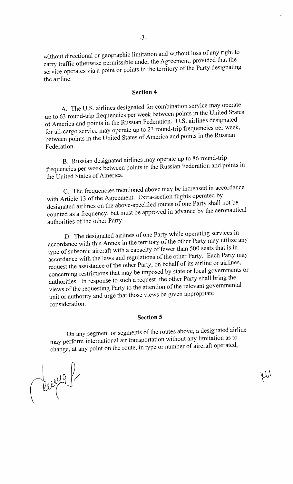without directional or geographic limitation and without loss of any right to carry traffic otherwise permissible under the Agreement; provided that the service operates via a point or points in the territory of the Party designating the airline.

#### **Section 4**

A. The U.S. airlines designated for combination service may operate up to 63 round-trip frequencies per week between points in the United States of America and points in the Russian Federation. U.S. airlines designated for all-cargo service may operate up to 23 round-trip frequencies per week, between points in the United States of America and points in the Russian Federation.

B. Russian designated airlines may operate up to 86 round-trip frequencies per week between points in the Russian Federation and points in the United States of America.

C. The frequencies mentioned above may be increased in accordance with Article 13 of the Agreement. Extra-section flights operated by designated airlines on the above-specified routes of one Party shall not be counted as a frequency, but must be approved in advance by the aeronautical authorities of the other Party.

D. The designated airlines of one Party while operating services in accordance with this Annex in the territory of the other Party may utilize any type of subsonic aircraft with a capacity of fewer than 500 seats that is in accordance with the laws and regulations of the other Party. Each Party may request the assistance of the other Party, on behalf of its airline or airlines, concerning restrictions that may be imposed by state or local governments or authorities. In response to such a request, the other Party shall bring the views of the requesting Party to the attention of the relevant governmental unit or authority and urge that those views be given appropriate consideration.

#### **Section 5**

On any segment or segments of the routes above, a designated airline may perform international air transportation without any limitation as to change, at any point on the route, in type or number of aircraft operated,

χW

Cerryal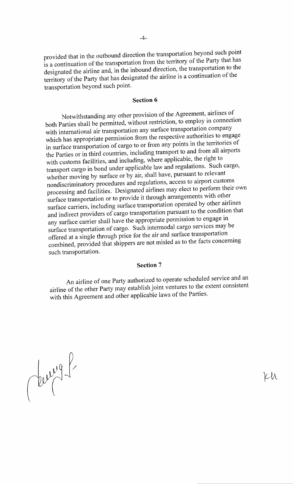provided that in the outbound direction the transportation beyond such point is a continuation of the transportation from the territory of the Party that has designated the airline and, in the inbound direction, the transportation to the territory of the Party that has designated the airline is a continuation of the transportation beyond such point.

#### **Section 6**

Notwithstanding any other provision of the Agreement, airlines of both Parties shall be permitted, without restriction, to employ in connection with international air transportation any surface transportation company which has appropriate permission from the respective authorities to engage in surface transportation of cargo to or from any points in the territories of the Parties or in third countries, including transport to and from all airports with customs facilities, and including, where applicable, the right to transport cargo in bond under applicable law and regulations. Such cargo, whether moving by surface or by air, shall have, pursuant to relevant nondiscriminatory procedures and regulations, access to airport customs processing and facilities. Designated airlines may elect to perform their own surface transportation or to provide it through arrangements with other surface carriers, including surface transportation operated by other airlines and indirect providers of cargo transportation pursuant to the condition that any surface carrier shall have the appropriate permission to engage in surface transportation of cargo. Such intermodal cargo services may be offered at a single through price for the air and surface transportation combined, provided that shippers are not misled as to the facts concerning such transportation.

#### **Section 7**

An airline of one Party authorized to operate scheduled service and an airline of the other Party may establish joint ventures to the extent consistent with this Agreement and other applicable laws of the Parties.

 $dw^{y^q}$ 

Kh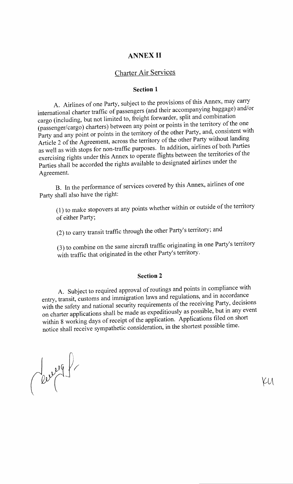### **ANNEX II**

### Charter Air Services

### **Section 1**

A. Airlines of one Party, subject to the provisions of this Annex, may carry international charter traffic of passengers (and their accompanying baggage) and/or cargo (including, but not limited to, freight forwarder, split and combination (passenger/cargo) charters) between any point or points in the territory of the one Party and any point or points in the territory of the other Party, and, consistent with Article 2 of the Agreement, across the territory of the other Party without landing as well as with stops for non-traffic purposes. In addition, airlines of both Parties exercising rights under this Annex to operate flights between the territories of the Parties shall be accorded the rights available to designated airlines under the Agreement.

B. In the performance of services covered by this Annex, airlines of one Party shall also have the right:

( 1) to make stopovers at any points whether within or outside of the territory of either Party;

(2) to carry transit traffic through the other Party's territory; and

(3) to combine on the same aircraft traffic originating in one Party's territory with traffic that originated in the other Party's territory.

#### **Section 2**

A. Subject to required approval of routings and points in compliance with entry, transit, customs and immigration laws and regulations, and in accordance with the safety and national security requirements of the receiving Party, decisions on charter applications shall be made as expeditiously as possible, but in any event within 8 working days of receipt of the application. Applications filed on short notice shall receive sympathetic consideration, in the shortest possible time.

Cerry P

KU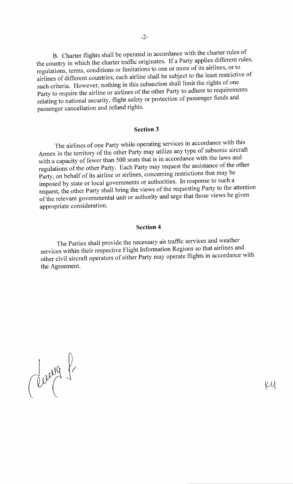B. Charter flights shall be operated in accordance with the charter rules of the country in which the charter traffic originates. If a Party applies different rules, regulations, terms, conditions or limitations to one or more of its airlines, or to airlines of different countries, each airline shall be subject to the least restrictive of such criteria. However, nothing in this subsection shall limit the rights of one Party to require the airline or airlines of the other Party to adhere to requirements relating to national security, flight safety or protection of passenger funds and passenger cancellation and refund rights.

#### **Section 3**

The airlines of one Party while operating services in accordance with this Annex in the territory of the other Party may utilize any type of subsonic aircraft with a capacity of fewer than 500 seats that is in accordance with the laws and regulations of the other Party. Each Party may request the assistance of the other Party, on behalf of its airline or airlines, concerning restrictions that may be imposed by state or local governments or authorities. In response to such a request, the other Party shall bring the views of the requesting Party to the attention of the relevant governmental unit or authority and urge that those views be given appropriate consideration.

#### **Section 4**

The Parties shall provide the necessary air traffic services and weather services within their respective Flight Information Regions so that airlines and other civil aircraft operators of either Party may operate flights in accordance with the Agreement.

Clevery f

 $\mathcal{U}$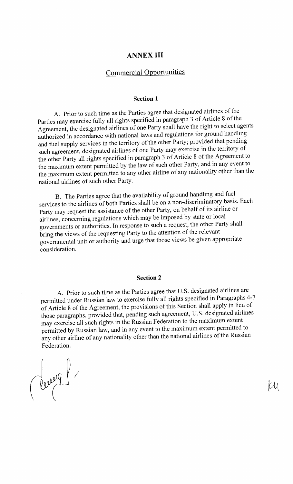## **ANNEX III**

# Commercial Opportunities

#### **Section 1**

A. Prior to such time as the Parties agree that designated airlines of the Parties may exercise fully all rights specified in paragraph 3 of Article 8 of the Agreement, the designated airlines of one Party shall have the right to select agents authorized in accordance with national laws and regulations for ground handling and fuel supply services in the territory of the other Party; provided that pending such agreement, designated airlines of one Party may exercise in the territory of the other Party all rights specified in paragraph 3 of Article 8 of the Agreement to the maximum extent permitted by the law of such other Party, and in any event to the maximum extent permitted to any other airline of any nationality other than the national airlines of such other Party.

B. The Parties agree that the availability of ground handling and fuel services to the airlines of both Parties shall be on a non-discriminatory basis. Each Party may request the assistance of the other Party, on behalf of its airline or airlines, concerning regulations which may be imposed by state or local governments or authorities. In response to such a request, the other Party shall bring the views of the requesting Party to the attention of the relevant governmental unit or authority and urge that those views be given appropriate consideration.

#### **Section 2**

A. Prior to such time as the Parties agree that U.S. designated airlines are permitted under Russian law to exercise fully all rights specified in Paragraphs 4-7 of Article 8 of the Agreement, the provisions of this Section shall apply in lieu of those paragraphs, provided that, pending such agreement, U.S. designated airlines may exercise all such rights in the Russian Federation to the maximum extent permitted by Russian law, and in any event to the maximum extent permitted to any other airline of any nationality other than the national airlines of the Russian Federation.

Cleverq1

 $\mathcal{U}$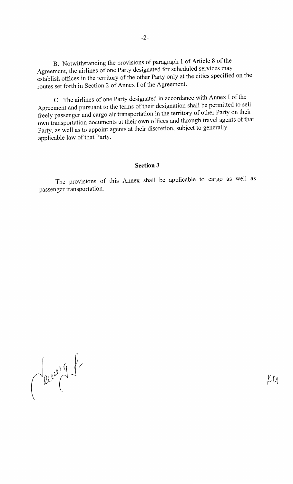B. Notwithstanding the provisions of paragraph 1 of Article 8 of the Agreement, the airlines of one Party designated for scheduled services may establish offices in the territory of the other Party only at the cities specified on the routes set forth in Section 2 of Annex I of the Agreement.

C. The airlines of one Party designated in accordance with Annex I of the Agreement and pursuant to the terms of their designation shall be permitted to sell freely passenger and cargo air transportation in the territory of other Party on their own transportation documents at their own offices and through travel agents of that Party, as well as to appoint agents at their discretion, subject to generally applicable law of that Party.

### **Section 3**

The provisions of this Annex shall be applicable to cargo as well as passenger transportation.

Secret 9 1

 $ku$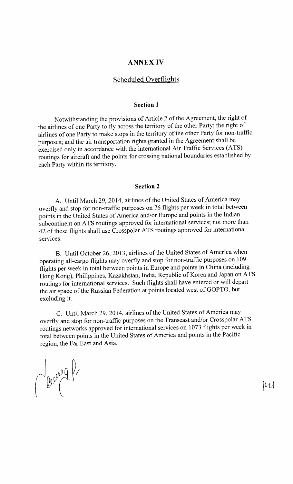### **ANNEX IV**

### Scheduled Overflights

#### **Section 1**

Notwithstanding the provisions of Article 2 of the Agreement, the right of the airlines of one Party to fly across the territory of the other Party; the right of airlines of one Party to make stops in the territory of the other Party for non-traffic purposes; and the air transportation rights granted in the Agreement shall be exercised only in accordance with the international Air Traffic Services (ATS) routings for aircraft and the points for crossing national boundaries established by each Party within its territory.

#### **Section 2**

A. Until March 29, 2014, airlines of the United States of America may overfly and stop for non-traffic purposes on 76 flights per week in total between points in the United States of America and/or Europe and points in the Indian subcontinent on ATS routings approved for international services; not more than 42 of these flights shall use Crosspolar ATS routings approved for international services.

B. Until October 26, 2013, airlines of the United States of America when operating all-cargo flights may overfly and stop for non-traffic purposes on 109 flights per week in total between points in Europe and points in China (including Hong Kong), Philippines, Kazakhstan, India, Republic of Korea and Japan on ATS routings for international services. Such flights shall have entered or will depart the air space of the Russian Federation at points located west of GOPTO, but excluding it.

C. Until March 29, 2014, airlines of the United States of America may overfly and stop for non-traffic purposes on the Transeast and/or Crosspolar ATS routings networks approved for international services on 1 073 flights per week in total between points in the United States of America and points in the Pacific region, the Far East and Asia.

 $\int 200000000000$ 

 $\mathcal{U}$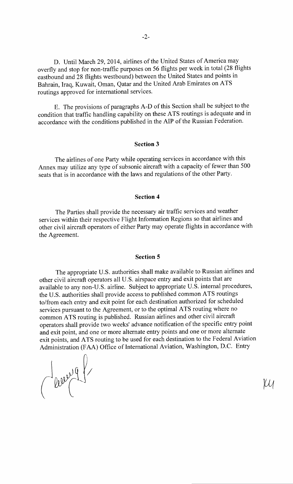D. Until March 29, 2014, airlines of the United States of America may overfly and stop for non-traffic purposes on 56 flights per week in total (28 flights eastbound and 28 flights westbound) between the United States and points in Bahrain, Iraq, Kuwait, Oman, Qatar and the United Arab Emirates on ATS routings approved for international services.

E. The provisions of paragraphs A-D of this Section shall be subject to the condition that traffic handling capability on these A TS routings is adequate and in accordance with the conditions published in the AlP of the Russian Federation.

### **Section 3**

The airlines of one Party while operating services in accordance with this Annex may utilize any type of subsonic aircraft with a capacity of fewer than 500 seats that is in accordance with the laws and regulations of the other Party.

#### **Section 4**

The Parties shall provide the necessary air traffic services and weather services within their respective Flight Information Regions so that airlines and other civil aircraft operators of either Party may operate flights in accordance with the Agreement.

#### **Section 5**

The appropriate U.S. authorities shall make available to Russian airlines and other civil aircraft operators all U.S. airspace entry and exit points that are available to any non-U.S. airline. Subject to appropriate U.S. internal procedures, the U.S. authorities shall provide access to published common ATS routings to/from each entry and exit point for each destination authorized for scheduled services pursuant to the Agreement, or to the optimal ATS routing where no common A TS routing is published. Russian airlines and other civil aircraft operators shall provide two weeks' advance notification of the specific entry point and exit point, and one or more alternate entry points and one or more alternate exit points, and ATS routing to be used for each destination to the Federal Aviation Administration (FAA) Office of International Aviation, Washington, D.C. Entry

Jeury 9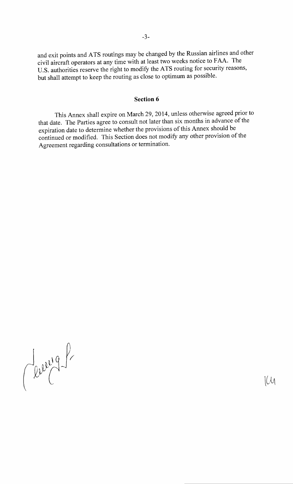and exit points and ATS routings may be changed by the Russian airlines and other civil aircraft operators at any time with at least two weeks notice to FAA. The U.S. authorities reserve the right to modify the ATS routing for security reasons, but shall attempt to keep the routing as close to optimum as possible.

### **Section 6**

This Annex shall expire on March 29, 2014, unless otherwise agreed prior to that date. The Parties agree to consult not later than six months in advance of the expiration date to determine whether the provisions of this Annex should be continued or modified. This Section does not modify any other provision of the Agreement regarding consultations or termination.

Jerry 8

 $\lfloor \mathcal{U} \rfloor$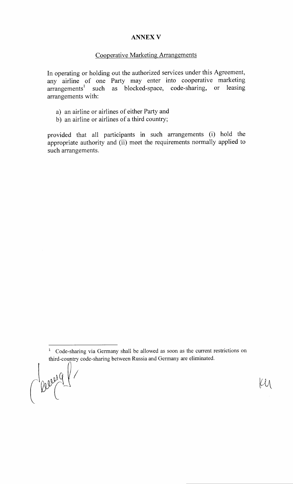### **ANNEX V**

### Cooperative Marketing Arrangements

In operating or holding out the authorized services under this Agreement, any airline of one Party may enter into cooperative marketing arrangements<sup>1</sup> such as blocked-space, code-sharing, or leasing arrangements with:

- a) an airline or airlines of either Party and
- b) an airline or airlines of a third country;

provided that all participants in such arrangements (i) hold the appropriate authority and (ii) meet the requirements normally applied to such arrangements.

leverg

ĺЩ

<sup>&</sup>lt;sup>1</sup> Code-sharing via Germany shall be allowed as soon as the current restrictions on third-country code-sharing between Russia and Germany are eliminated.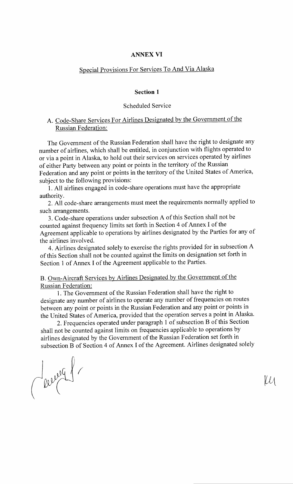### **ANNEX VI**

# Special Provisions For Services To And Via Alaska

#### **Section 1**

### Scheduled Service

### A. Code-Share Services For Airlines Designated by the Government of the Russian Federation:

The Government of the Russian Federation shall have the right to designate any number of airlines, which shall be entitled, in conjunction with flights operated to or via a point in Alaska, to hold out their services on services operated by airlines of either Party between any point or points in the territory of the Russian Federation and any point or points in the territory of the United States of America, subject to the following provisions:

1. All airlines engaged in code-share operations must have the appropriate authority.

2. All code-share arrangements must meet the requirements normally applied to such arrangements.

3. Code-share operations under subsection A of this Section shall not be counted against frequency limits set forth in Section 4 of Annex I of the Agreement applicable to operations by airlines designated by the Parties for any of the airlines involved.

4. Airlines designated solely to exercise the rights provided for in subsection A of this Section shall not be counted against the limits on designation set forth in Section 1 of Annex I of the Agreement applicable to the Parties.

### B. Own-Aircraft Services by Airlines Designated by the Government of the Russian Federation:

1. The Government of the Russian Federation shall have the right to designate any number of airlines to operate any number of frequencies on routes between any point or points in the Russian Federation and any point or points in the United States of America, provided that the operation serves a point in Alaska.

2. Frequencies operated under paragraph **1** of subsection B of this Section shall not be counted against limits on frequencies applicable to operations by airlines designated by the Government of the Russian Federation set forth in subsection B of Section 4 of Annex I of the Agreement. Airlines designated solely

Clevel 1

lЙ